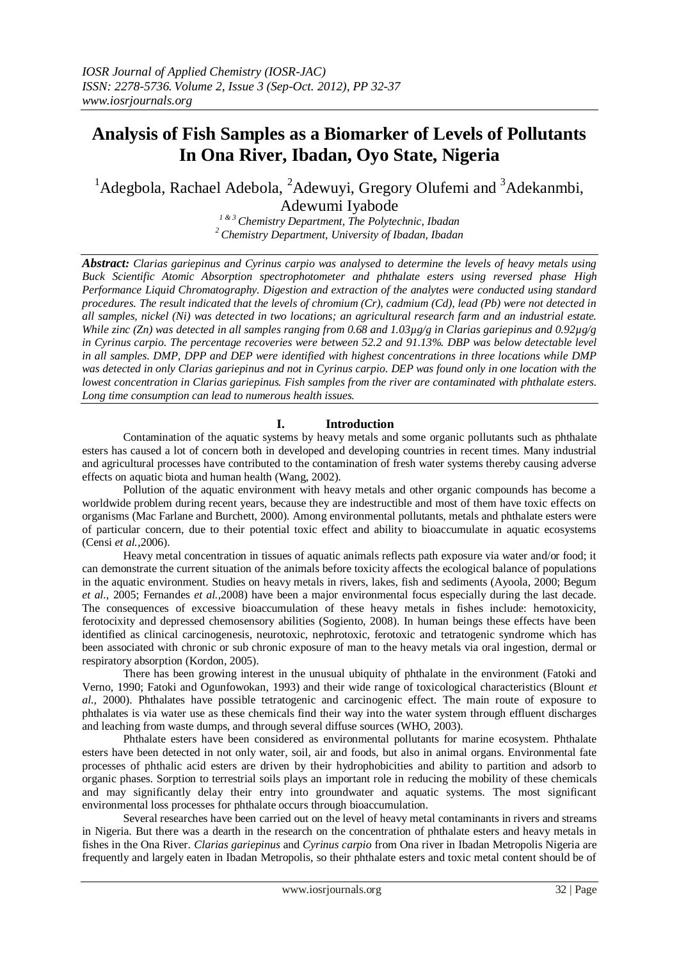# **Analysis of Fish Samples as a Biomarker of Levels of Pollutants In Ona River, Ibadan, Oyo State, Nigeria**

# <sup>1</sup>Adegbola, Rachael Adebola, <sup>2</sup>Adewuyi, Gregory Olufemi and <sup>3</sup>Adekanmbi, Adewumi Iyabode

*1 & 3 Chemistry Department, The Polytechnic, Ibadan <sup>2</sup>Chemistry Department, University of Ibadan, Ibadan*

*Abstract: Clarias gariepinus and Cyrinus carpio was analysed to determine the levels of heavy metals using Buck Scientific Atomic Absorption spectrophotometer and phthalate esters using reversed phase High Performance Liquid Chromatography. Digestion and extraction of the analytes were conducted using standard procedures. The result indicated that the levels of chromium (Cr), cadmium (Cd), lead (Pb) were not detected in all samples, nickel (Ni) was detected in two locations; an agricultural research farm and an industrial estate. While zinc (Zn) was detected in all samples ranging from 0.68 and 1.03µg/g in Clarias gariepinus and 0.92µg/g in Cyrinus carpio. The percentage recoveries were between 52.2 and 91.13%. DBP was below detectable level in all samples. DMP, DPP and DEP were identified with highest concentrations in three locations while DMP was detected in only Clarias gariepinus and not in Cyrinus carpio. DEP was found only in one location with the lowest concentration in Clarias gariepinus. Fish samples from the river are contaminated with phthalate esters. Long time consumption can lead to numerous health issues.*

# **I. Introduction**

Contamination of the aquatic systems by heavy metals and some organic pollutants such as phthalate esters has caused a lot of concern both in developed and developing countries in recent times. Many industrial and agricultural processes have contributed to the contamination of fresh water systems thereby causing adverse effects on aquatic biota and human health (Wang, 2002).

Pollution of the aquatic environment with heavy metals and other organic compounds has become a worldwide problem during recent years, because they are indestructible and most of them have toxic effects on organisms (Mac Farlane and Burchett, 2000). Among environmental pollutants, metals and phthalate esters were of particular concern, due to their potential toxic effect and ability to bioaccumulate in aquatic ecosystems (Censi *et al.,*2006).

Heavy metal concentration in tissues of aquatic animals reflects path exposure via water and/or food; it can demonstrate the current situation of the animals before toxicity affects the ecological balance of populations in the aquatic environment. Studies on heavy metals in rivers, lakes, fish and sediments (Ayoola, 2000; Begum *et al.,* 2005; Fernandes *et al.,*2008) have been a major environmental focus especially during the last decade. The consequences of excessive bioaccumulation of these heavy metals in fishes include: hemotoxicity, ferotocixity and depressed chemosensory abilities (Sogiento, 2008). In human beings these effects have been identified as clinical carcinogenesis, neurotoxic, nephrotoxic, ferotoxic and tetratogenic syndrome which has been associated with chronic or sub chronic exposure of man to the heavy metals via oral ingestion, dermal or respiratory absorption (Kordon, 2005).

There has been growing interest in the unusual ubiquity of phthalate in the environment (Fatoki and Verno, 1990; Fatoki and Ogunfowokan, 1993) and their wide range of toxicological characteristics (Blount *et al.,* 2000). Phthalates have possible tetratogenic and carcinogenic effect. The main route of exposure to phthalates is via water use as these chemicals find their way into the water system through effluent discharges and leaching from waste dumps, and through several diffuse sources (WHO, 2003).

Phthalate esters have been considered as environmental pollutants for marine ecosystem. Phthalate esters have been detected in not only water, soil, air and foods, but also in animal organs. Environmental fate processes of phthalic acid esters are driven by their hydrophobicities and ability to partition and adsorb to organic phases. Sorption to terrestrial soils plays an important role in reducing the mobility of these chemicals and may significantly delay their entry into groundwater and aquatic systems. The most significant environmental loss processes for phthalate occurs through bioaccumulation.

Several researches have been carried out on the level of heavy metal contaminants in rivers and streams in Nigeria. But there was a dearth in the research on the concentration of phthalate esters and heavy metals in fishes in the Ona River. *Clarias gariepinus* and *Cyrinus carpio* from Ona river in Ibadan Metropolis Nigeria are frequently and largely eaten in Ibadan Metropolis, so their phthalate esters and toxic metal content should be of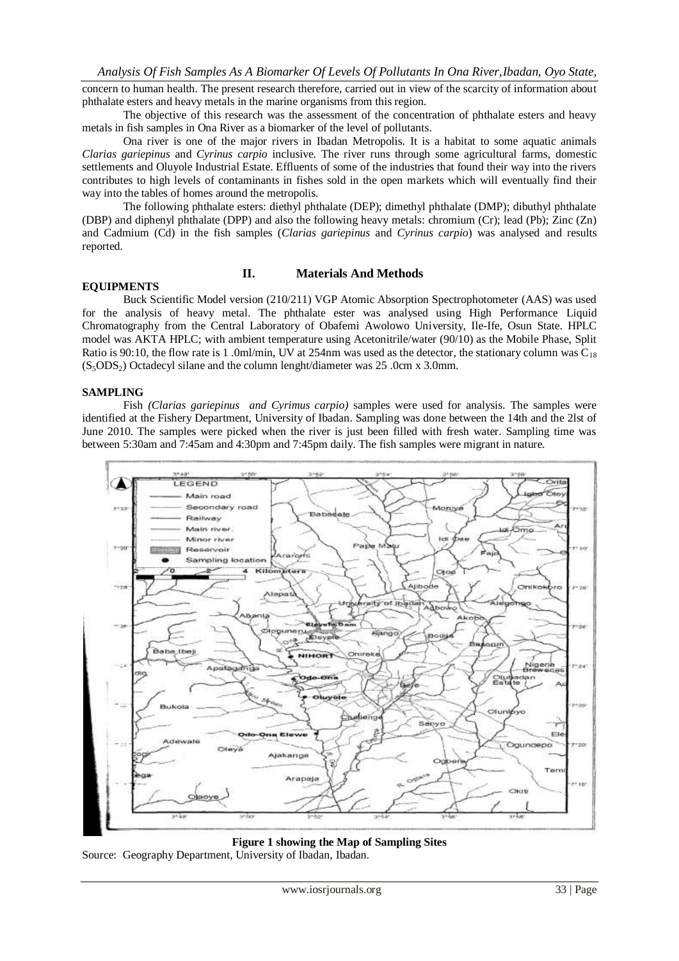concern to human health. The present research therefore, carried out in view of the scarcity of information about phthalate esters and heavy metals in the marine organisms from this region.

The objective of this research was the assessment of the concentration of phthalate esters and heavy metals in fish samples in Ona River as a biomarker of the level of pollutants.

Ona river is one of the major rivers in Ibadan Metropolis. It is a habitat to some aquatic animals *Clarias gariepinus* and *Cyrinus carpio* inclusive. The river runs through some agricultural farms, domestic settlements and Oluyole Industrial Estate. Effluents of some of the industries that found their way into the rivers contributes to high levels of contaminants in fishes sold in the open markets which will eventually find their way into the tables of homes around the metropolis.

The following phthalate esters: diethyl phthalate (DEP); dimethyl phthalate (DMP); dibuthyl phthalate (DBP) and diphenyl phthalate (DPP) and also the following heavy metals: chromium (Cr); lead (Pb); Zinc (Zn) and Cadmium (Cd) in the fish samples (*Clarias gariepinus* and *Cyrinus carpio*) was analysed and results reported.

# **EQUIPMENTS**

# **II. Materials And Methods**

Buck Scientific Model version (210/211) VGP Atomic Absorption Spectrophotometer (AAS) was used for the analysis of heavy metal. The phthalate ester was analysed using High Performance Liquid Chromatography from the Central Laboratory of Obafemi Awolowo University, Ile-Ife, Osun State. HPLC model was AKTA HPLC; with ambient temperature using Acetonitrile/water (90/10) as the Mobile Phase, Split Ratio is 90:10, the flow rate is 1 .0ml/min, UV at 254nm was used as the detector, the stationary column was  $C_{18}$  $(S_5ODS_2)$  Octadecyl silane and the column lenght/diameter was 25 .0cm x 3.0mm.

#### **SAMPLING**

Fish *(Clarias gariepinus and Cyrimus carpio)* samples were used for analysis. The samples were identified at the Fishery Department, University of Ibadan. Sampling was done between the 14th and the 2lst of June 2010. The samples were picked when the river is just been filled with fresh water. Sampling time was between 5:30am and 7:45am and 4:30pm and 7:45pm daily. The fish samples were migrant in nature.



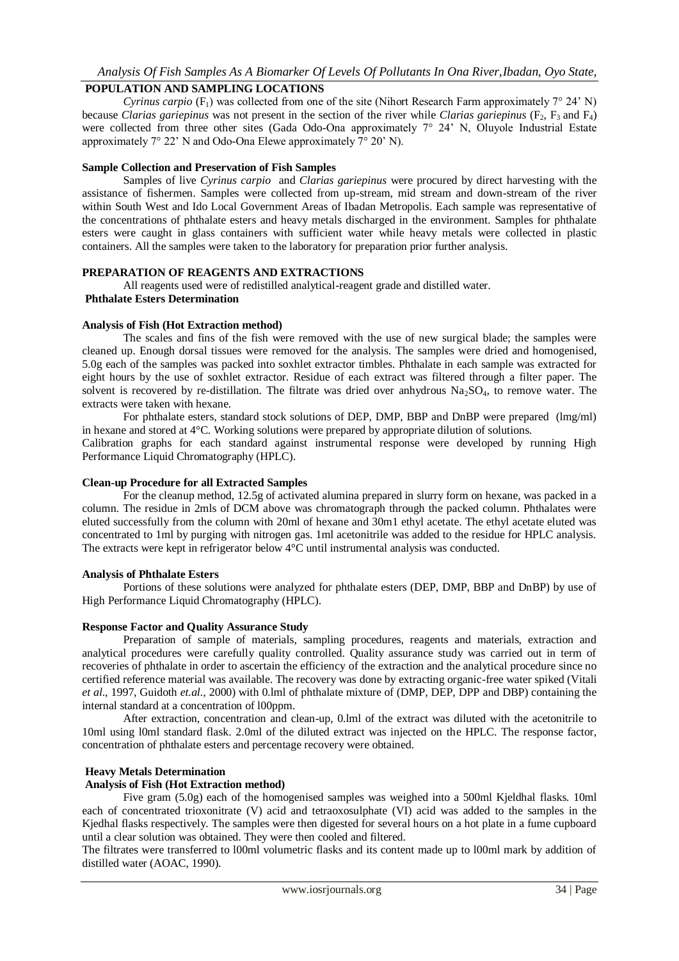# *Analysis Of Fish Samples As A Biomarker Of Levels Of Pollutants In Ona River,Ibadan, Oyo State,*

# **POPULATION AND SAMPLING LOCATIONS**

*Cyrinus carpio*  $(F_1)$  was collected from one of the site (Nihort Research Farm approximately  $7^{\circ}$  24' N) because *Clarias gariepinus* was not present in the section of the river while *Clarias gariepinus* (F<sub>2</sub>, F<sub>3</sub> and F<sub>4</sub>) were collected from three other sites (Gada Odo-Ona approximately 7° 24' N, Oluyole Industrial Estate approximately 7° 22' N and Odo-Ona Elewe approximately 7° 20' N).

#### **Sample Collection and Preservation of Fish Samples**

Samples of live *Cyrinus carpio* and *Clarias gariepinus* were procured by direct harvesting with the assistance of fishermen. Samples were collected from up-stream, mid stream and down-stream of the river within South West and Ido Local Government Areas of Ibadan Metropolis. Each sample was representative of the concentrations of phthalate esters and heavy metals discharged in the environment. Samples for phthalate esters were caught in glass containers with sufficient water while heavy metals were collected in plastic containers. All the samples were taken to the laboratory for preparation prior further analysis.

#### **PREPARATION OF REAGENTS AND EXTRACTIONS**

All reagents used were of redistilled analytical-reagent grade and distilled water.

#### **Phthalate Esters Determination**

#### **Analysis of Fish (Hot Extraction method)**

The scales and fins of the fish were removed with the use of new surgical blade; the samples were cleaned up. Enough dorsal tissues were removed for the analysis. The samples were dried and homogenised, 5.0g each of the samples was packed into soxhlet extractor timbles. Phthalate in each sample was extracted for eight hours by the use of soxhlet extractor. Residue of each extract was filtered through a filter paper. The solvent is recovered by re-distillation. The filtrate was dried over anhydrous  $Na<sub>2</sub>SO<sub>4</sub>$ , to remove water. The extracts were taken with hexane.

For phthalate esters, standard stock solutions of DEP, DMP, BBP and DnBP were prepared (lmg/ml) in hexane and stored at 4°C. Working solutions were prepared by appropriate dilution of solutions.

Calibration graphs for each standard against instrumental response were developed by running High Performance Liquid Chromatography (HPLC).

#### **Clean-up Procedure for all Extracted Samples**

For the cleanup method, 12.5g of activated alumina prepared in slurry form on hexane, was packed in a column. The residue in 2mls of DCM above was chromatograph through the packed column. Phthalates were eluted successfully from the column with 20ml of hexane and 30m1 ethyl acetate. The ethyl acetate eluted was concentrated to 1ml by purging with nitrogen gas. 1ml acetonitrile was added to the residue for HPLC analysis. The extracts were kept in refrigerator below 4°C until instrumental analysis was conducted.

#### **Analysis of Phthalate Esters**

Portions of these solutions were analyzed for phthalate esters (DEP, DMP, BBP and DnBP) by use of High Performance Liquid Chromatography (HPLC).

#### **Response Factor and Quality Assurance Study**

Preparation of sample of materials, sampling procedures, reagents and materials, extraction and analytical procedures were carefully quality controlled. Quality assurance study was carried out in term of recoveries of phthalate in order to ascertain the efficiency of the extraction and the analytical procedure since no certified reference material was available. The recovery was done by extracting organic-free water spiked (Vitali *et al*., 1997, Guidoth *et.al.,* 2000) with 0.lml of phthalate mixture of (DMP, DEP, DPP and DBP) containing the internal standard at a concentration of l00ppm.

After extraction, concentration and clean-up, 0.lml of the extract was diluted with the acetonitrile to 10ml using l0ml standard flask. 2.0ml of the diluted extract was injected on the HPLC. The response factor, concentration of phthalate esters and percentage recovery were obtained.

#### **Heavy Metals Determination**

#### **Analysis of Fish (Hot Extraction method)**

Five gram (5.0g) each of the homogenised samples was weighed into a 500ml Kjeldhal flasks. 10ml each of concentrated trioxonitrate (V) acid and tetraoxosulphate (VI) acid was added to the samples in the Kjedhal flasks respectively. The samples were then digested for several hours on a hot plate in a fume cupboard until a clear solution was obtained. They were then cooled and filtered.

The filtrates were transferred to l00ml volumetric flasks and its content made up to l00ml mark by addition of distilled water (AOAC, 1990).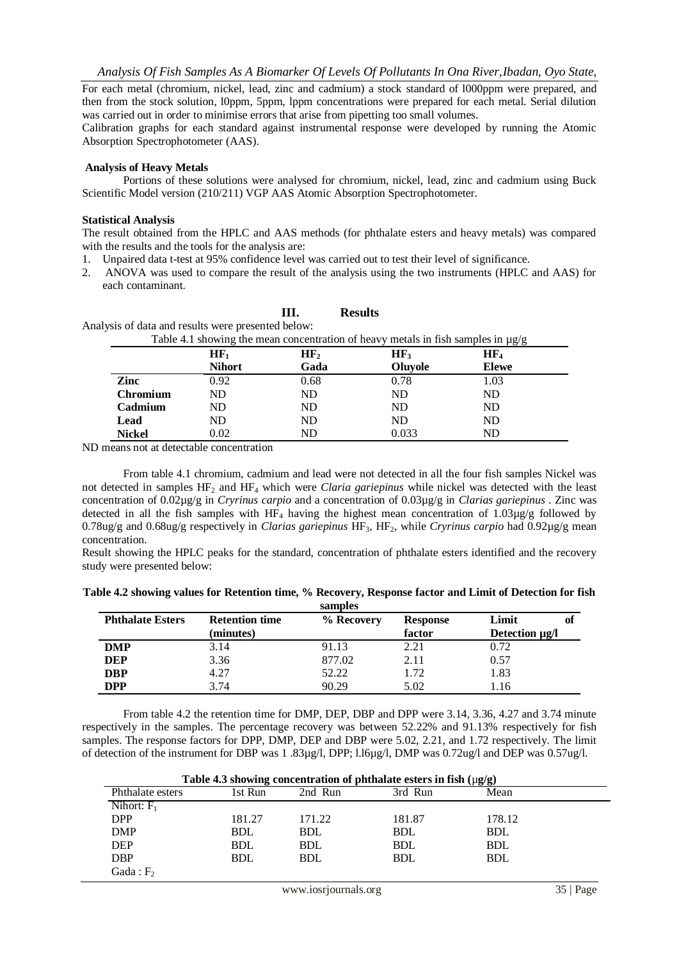For each metal (chromium, nickel, lead, zinc and cadmium) a stock standard of l000ppm were prepared, and then from the stock solution, l0ppm, 5ppm, lppm concentrations were prepared for each metal. Serial dilution was carried out in order to minimise errors that arise from pipetting too small volumes.

Calibration graphs for each standard against instrumental response were developed by running the Atomic Absorption Spectrophotometer (AAS).

#### **Analysis of Heavy Metals**

Portions of these solutions were analysed for chromium, nickel, lead, zinc and cadmium using Buck Scientific Model version (210/211) VGP AAS Atomic Absorption Spectrophotometer.

#### **Statistical Analysis**

The result obtained from the HPLC and AAS methods (for phthalate esters and heavy metals) was compared with the results and the tools for the analysis are:

- 1. Unpaired data t-test at 95% confidence level was carried out to test their level of significance.
- 2. ANOVA was used to compare the result of the analysis using the two instruments (HPLC and AAS) for each contaminant.

|                 | alysis of data and results were presented below: |                 |                                                                                       |        |
|-----------------|--------------------------------------------------|-----------------|---------------------------------------------------------------------------------------|--------|
|                 |                                                  |                 | Table 4.1 showing the mean concentration of heavy metals in fish samples in $\mu g/g$ |        |
|                 | $HF_1$                                           | HF <sub>2</sub> | HF <sub>3</sub>                                                                       | $HF_4$ |
|                 | <b>Nihort</b>                                    | Gada            | Oluyole                                                                               | Elewe  |
| Zinc            | 0.92                                             | 0.68            | 0.78                                                                                  | 1.03   |
| <b>Chromium</b> | ND.                                              | ND.             | ND.                                                                                   | ND     |
| Cadmium         | ND.                                              | ND.             | ND                                                                                    | ND     |
| Lead            | ND                                               | ND              | ND                                                                                    | ND     |

**Nickel** 0.02 ND 0.033 ND

**III. Results**

Analysis of data and results were presented below:

ND means not at detectable concentration

From table 4.1 chromium, cadmium and lead were not detected in all the four fish samples Nickel was not detected in samples HF<sup>2</sup> and HF<sup>4</sup> which were *Claria gariepinus* while nickel was detected with the least concentration of 0.02µg/g in *Cryrinus carpio* and a concentration of 0.03µg/g in *Clarias gariepinus* . Zinc was detected in all the fish samples with HF<sub>4</sub> having the highest mean concentration of  $1.03\mu\text{g/g}$  followed by 0.78ug/g and 0.68ug/g respectively in *Clarias gariepinus* HF3, HF2, while *Cryrinus carpio* had 0.92µg/g mean concentration.

Result showing the HPLC peaks for the standard, concentration of phthalate esters identified and the recovery study were presented below:

| Table 4.2 showing values for Retention time, % Recovery, Response factor and Limit of Detection for fish |  |  |
|----------------------------------------------------------------------------------------------------------|--|--|
|----------------------------------------------------------------------------------------------------------|--|--|

| samples                 |                                    |            |                           |                               |  |
|-------------------------|------------------------------------|------------|---------------------------|-------------------------------|--|
| <b>Phthalate Esters</b> | <b>Retention time</b><br>(minutes) | % Recovery | <b>Response</b><br>factor | Limit<br>Оl<br>Detection ug/l |  |
| <b>DMP</b>              | 3.14                               | 91.13      | 2.21                      | 0.72                          |  |
| <b>DEP</b>              | 3.36                               | 877.02     | 2.11                      | 0.57                          |  |
| <b>DBP</b>              | 4.27                               | 52.22      | 1.72                      | 1.83                          |  |
| <b>DPP</b>              | 3.74                               | 90.29      | 5.02                      | 1.16                          |  |

From table 4.2 the retention time for DMP, DEP, DBP and DPP were 3.14, 3.36, 4.27 and 3.74 minute respectively in the samples. The percentage recovery was between 52.22% and 91.13% respectively for fish samples. The response factors for DPP, DMP, DEP and DBP were 5.02, 2.21, and 1.72 respectively. The limit of detection of the instrument for DBP was 1 .83µg/l, DPP; l.l6µg/l, DMP was 0.72ug/l and DEP was 0.57ug/l.

| Table 4.3 showing concentration of phthalate esters in fish $(\mu g/g)$ |            |            |            |            |  |
|-------------------------------------------------------------------------|------------|------------|------------|------------|--|
| Phthalate esters                                                        | 1st Run    | 2nd Run    | 3rd Run    | Mean       |  |
| Nihort: $F_1$                                                           |            |            |            |            |  |
| <b>DPP</b>                                                              | 181.27     | 171.22     | 181.87     | 178.12     |  |
| <b>DMP</b>                                                              | <b>BDL</b> | <b>BDL</b> | <b>BDL</b> | <b>BDL</b> |  |
| <b>DEP</b>                                                              | <b>BDL</b> | <b>BDL</b> | <b>BDL</b> | <b>BDL</b> |  |
| <b>DBP</b>                                                              | <b>BDL</b> | <b>BDL</b> | <b>BDL</b> | <b>BDL</b> |  |
| Gada: $F_2$                                                             |            |            |            |            |  |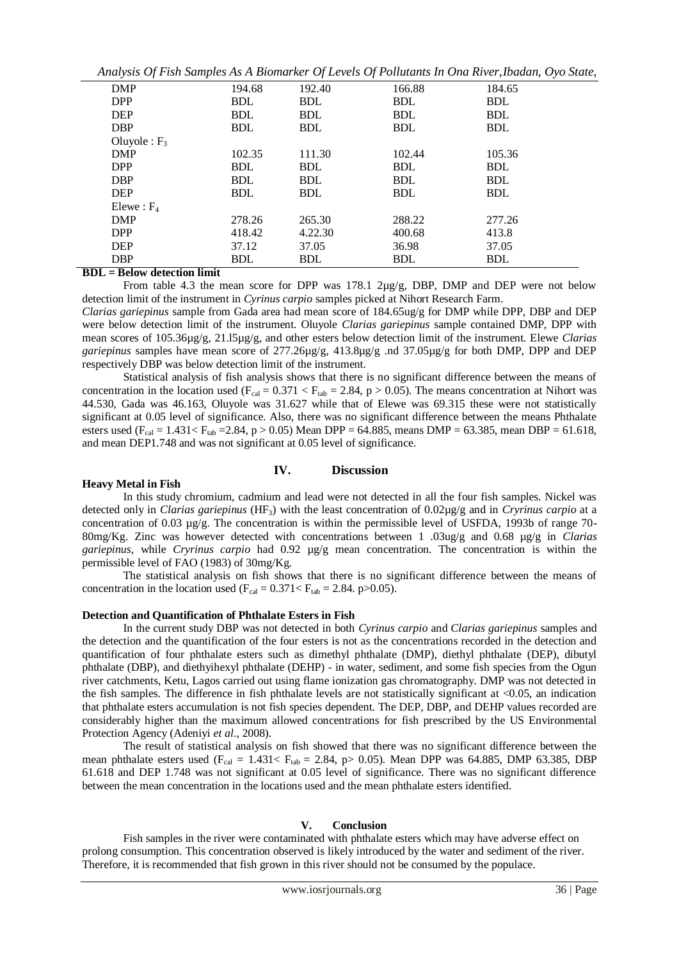|                 |            |            | Analysis Of Fish Samples As A Biomarker Of Levels Of Pollutants In Ona River, Ibadan, Oyo State, |            |  |
|-----------------|------------|------------|--------------------------------------------------------------------------------------------------|------------|--|
| <b>DMP</b>      | 194.68     | 192.40     | 166.88                                                                                           | 184.65     |  |
| <b>DPP</b>      | <b>BDL</b> | <b>BDL</b> | <b>BDL</b>                                                                                       | <b>BDL</b> |  |
| <b>DEP</b>      | <b>BDL</b> | <b>BDL</b> | <b>BDL</b>                                                                                       | <b>BDL</b> |  |
| <b>DBP</b>      | <b>BDL</b> | <b>BDL</b> | <b>BDL</b>                                                                                       | <b>BDL</b> |  |
| Oluvole : $F_3$ |            |            |                                                                                                  |            |  |
| <b>DMP</b>      | 102.35     | 111.30     | 102.44                                                                                           | 105.36     |  |
| <b>DPP</b>      | <b>BDL</b> | <b>BDL</b> | <b>BDL</b>                                                                                       | <b>BDL</b> |  |
| <b>DBP</b>      | <b>BDL</b> | <b>BDL</b> | <b>BDL</b>                                                                                       | <b>BDL</b> |  |
| <b>DEP</b>      | <b>BDL</b> | <b>BDL</b> | <b>BDL</b>                                                                                       | <b>BDL</b> |  |
| Elewe: $F_4$    |            |            |                                                                                                  |            |  |
| DMP             | 278.26     | 265.30     | 288.22                                                                                           | 277.26     |  |
| <b>DPP</b>      | 418.42     | 4.22.30    | 400.68                                                                                           | 413.8      |  |
| <b>DEP</b>      | 37.12      | 37.05      | 36.98                                                                                            | 37.05      |  |
| <b>DBP</b>      | <b>BDL</b> | <b>BDL</b> | <b>BDL</b>                                                                                       | <b>BDL</b> |  |

*Analysis Of Fish Samples As A Biomarker Of Levels Of Pollutants In Ona River,Ibadan, Oyo State,*

**BDL = Below detection limit**

From table 4.3 the mean score for DPP was  $178.1 \, 2\mu g/g$ , DBP, DMP and DEP were not below detection limit of the instrument in *Cyrinus carpio* samples picked at Nihort Research Farm.

*Clarias gariepinus* sample from Gada area had mean score of 184.65ug/g for DMP while DPP, DBP and DEP were below detection limit of the instrument. Oluyole *Clarias gariepinus* sample contained DMP, DPP with mean scores of 105.36µg/g, 21.l5µg/g, and other esters below detection limit of the instrument. Elewe *Clarias gariepinus* samples have mean score of 277.26µg/g, 413.8µg/g .nd 37.05µg/g for both DMP, DPP and DEP respectively DBP was below detection limit of the instrument.

Statistical analysis of fish analysis shows that there is no significant difference between the means of concentration in the location used ( $F_{cal} = 0.371 < F_{tab} = 2.84$ ,  $p > 0.05$ ). The means concentration at Nihort was 44.530, Gada was 46.163, Oluyole was 31.627 while that of Elewe was 69.315 these were not statistically significant at 0.05 level of significance. Also, there was no significant difference between the means Phthalate esters used ( $F_{cal} = 1.431 < F_{tab} = 2.84$ , p > 0.05) Mean DPP = 64.885, means DMP = 63.385, mean DBP = 61.618, and mean DEP1.748 and was not significant at 0.05 level of significance.

### **Heavy Metal in Fish**

#### **IV. Discussion**

In this study chromium, cadmium and lead were not detected in all the four fish samples. Nickel was detected only in *Clarias gariepinus* (HF3) with the least concentration of 0.02µg/g and in *Cryrinus carpio* at a concentration of 0.03 µg/g. The concentration is within the permissible level of USFDA, 1993b of range 70- 80mg/Kg. Zinc was however detected with concentrations between 1 .03ug/g and 0.68 µg/g in *Clarias gariepinus*, while *Cryrinus carpio* had 0.92 µg/g mean concentration. The concentration is within the permissible level of FAO (1983) of 30mg/Kg.

The statistical analysis on fish shows that there is no significant difference between the means of concentration in the location used ( $F_{cal} = 0.371 < F_{tab} = 2.84$ . p>0.05).

# **Detection and Quantification of Phthalate Esters in Fish**

In the current study DBP was not detected in both *Cyrinus carpio* and *Clarias gariepinus* samples and the detection and the quantification of the four esters is not as the concentrations recorded in the detection and quantification of four phthalate esters such as dimethyl phthalate (DMP), diethyl phthalate (DEP), dibutyl phthalate (DBP), and diethyihexyl phthalate (DEHP) - in water, sediment, and some fish species from the Ogun river catchments, Ketu, Lagos carried out using flame ionization gas chromatography. DMP was not detected in the fish samples. The difference in fish phthalate levels are not statistically significant at <0.05, an indication that phthalate esters accumulation is not fish species dependent. The DEP, DBP, and DEHP values recorded are considerably higher than the maximum allowed concentrations for fish prescribed by the US Environmental Protection Agency (Adeniyi *et al*., 2008).

The result of statistical analysis on fish showed that there was no significant difference between the mean phthalate esters used  $(F_{cal} = 1.431 < F_{tab} = 2.84, p > 0.05)$ . Mean DPP was 64.885, DMP 63.385, DBP 61.618 and DEP 1.748 was not significant at 0.05 level of significance. There was no significant difference between the mean concentration in the locations used and the mean phthalate esters identified.

# **V. Conclusion**

Fish samples in the river were contaminated with phthalate esters which may have adverse effect on prolong consumption. This concentration observed is likely introduced by the water and sediment of the river. Therefore, it is recommended that fish grown in this river should not be consumed by the populace.